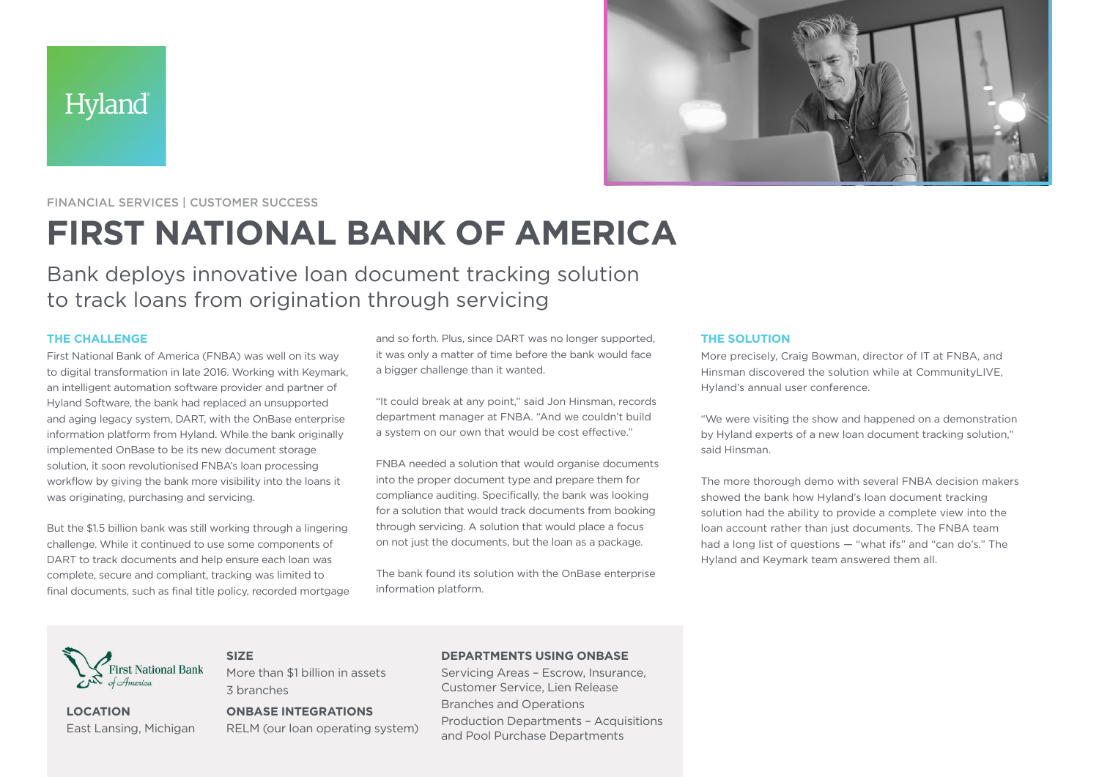



FINANCIAL SERVICES | CUSTOMER SUCCESS

# **FIRST NATIONAL BANK OF AMERICA**

Bank deploys innovative loan document tracking solution to track loans from origination through servicing

# **THE CHALLENGE**

First National Bank of America (FNBA) was well on its way to digital transformation in late 2016. Working with Keymark, an intelligent automation software provider and partner of Hyland Software, the bank had replaced an unsupported and aging legacy system, DART, with the OnBase enterprise information platform from Hyland. While the bank originally implemented OnBase to be its new document storage solution, it soon revolutionised FNBA's loan processing workflow by giving the bank more visibility into the loans it was originating, purchasing and servicing.

But the \$1.5 billion bank was still working through a lingering challenge. While it continued to use some components of DART to track documents and help ensure each loan was complete, secure and compliant, tracking was limited to final documents, such as final title policy, recorded mortgage

**SIZE**

3 branches

and so forth. Plus, since DART was no longer supported, it was only a matter of time before the bank would face a bigger challenge than it wanted.

"It could break at any point," said Jon Hinsman, records department manager at FNBA. "And we couldn't build a system on our own that would be cost effective."

FNBA needed a solution that would organise documents into the proper document type and prepare them for compliance auditing. Specifically, the bank was looking for a solution that would track documents from booking through servicing. A solution that would place a focus on not just the documents, but the loan as a package.

The bank found its solution with the OnBase enterprise information platform.

#### **THE SOLUTION**

More precisely, Craig Bowman, director of IT at FNBA, and Hinsman discovered the solution while at CommunityLIVE, Hyland's annual user conference.

"We were visiting the show and happened on a demonstration by Hyland experts of a new loan document tracking solution," said Hinsman.

The more thorough demo with several FNBA decision makers showed the bank how Hyland's loan document tracking solution had the ability to provide a complete view into the loan account rather than just documents. The FNBA team had a long list of questions — "what ifs" and "can do's." The Hyland and Keymark team answered them all.



**LOCATION** East Lansing, Michigan

# **ONBASE INTEGRATIONS**

More than \$1 billion in assets

RELM (our loan operating system)

# **DEPARTMENTS USING ONBASE**

Servicing Areas – Escrow, Insurance, Customer Service, Lien Release Branches and Operations Production Departments – Acquisitions and Pool Purchase Departments